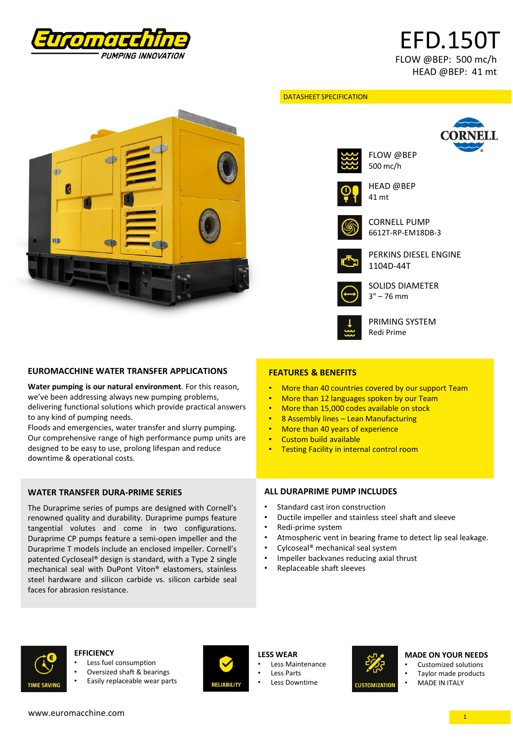

# EFD.150T FLOW @BEP: 500 mc/h HEAD @BEP: 41 mt

# d) Ϋ́. K 11

**EUROMACCHINE WATER TRANSFER APPLICATIONS**

**Water pumping is our natural environment**. For this reason, we've been addressing always new pumping problems, delivering functional solutions which provide practical answers to any kind of pumping needs.

Floods and emergencies, water transfer and slurry pumping. Our comprehensive range of high performance pump units are designed to be easy to use, prolong lifespan and reduce downtime & operational costs.

# **WATER TRANSFER DURA-PRIME SERIES**

The Duraprime series of pumps are designed with Cornell's renowned quality and durability. Duraprime pumps feature tangential volutes and come in two configurations. Duraprime CP pumps feature a semi-open impeller and the Duraprime T models include an enclosed impeller. Cornell's patented Cycloseal® design is standard, with a Type 2 single mechanical seal with DuPont Viton® elastomers, stainless steel hardware and silicon carbide vs. silicon carbide seal faces for abrasion resistance.

#### DATASHEET SPECIFICATION



FLOW @BEP 500 mc/h



HEAD @BEP 41 mt



CORNELL PUMP 6612T-RP-EM18DB-3



PERKINS DIESEL ENGINE 1104D-44T



PRIMING SYSTEM Redi Prime

SOLIDS DIAMETER 3" – 76 mm

# **FEATURES & BENEFITS**

- More than 40 countries covered by our support Team
- More than 12 languages spoken by our Team
- More than 15,000 codes available on stock
- 8 Assembly lines Lean Manufacturing
- More than 40 years of experience
- Custom build available
- Testing Facility in internal control room

# **ALL DURAPRIME PUMP INCLUDES**

- Standard cast iron construction
- Ductile impeller and stainless steel shaft and sleeve
- Redi-prime system
- Atmospheric vent in bearing frame to detect lip seal leakage.
- Cylcoseal® mechanical seal system
- Impeller backvanes reducing axial thrust
- Replaceable shaft sleeves



#### **EFFICIENCY**

- Less fuel consumption
- Oversized shaft & bearings
- Easily replaceable wear parts



### **LESS WEAR**

- Less Maintenance
- **Less Parts**

# Less Downtime



# **MADE ON YOUR NEEDS**

- Customized solutions
- Taylor made products
	- MADE IN ITALY

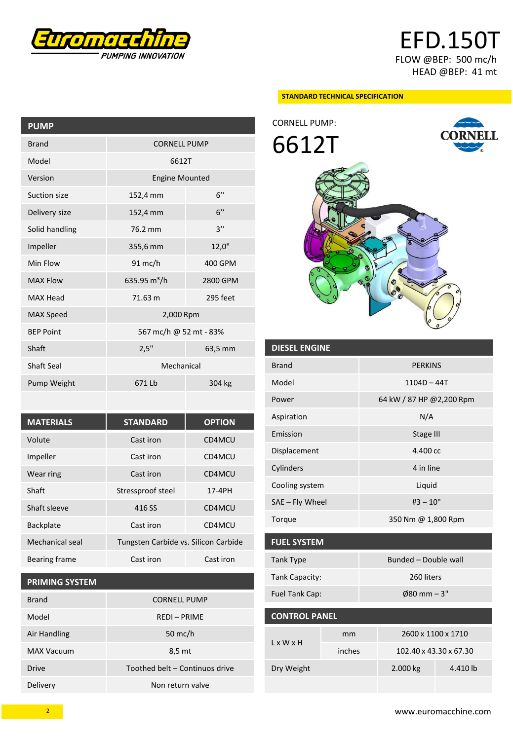

EFD.150T FLOW @BEP: 500 mc/h HEAD @BEP: 41 mt

**CO** 

#### **STANDARD TECHNICAL SPECIFICATION**

**PUMP** Brand CORNELL PUMP Model 6612T Version Engine Mounted Suction size 152,4 mm 6" Delivery size 152,4 mm 6" Solid handling 76.2 mm Impeller 355,6 mm 12,0" Min Flow 91 mc/h 400 GPM MAX Flow 635.95 m<sup>3</sup>/h 2800 GPM MAX Head 71.63 m 295 feet MAX Speed 2,000 Rpm BEP Point 567 mc/h @ 52 mt - 83% Shaft 2,5" 63,5 mm Shaft Seal Mechanical Pump Weight 671 Lb 304 kg

| <b>MATERIALS</b> | <b>STANDARD</b>                      | <b>OPTION</b> |  |
|------------------|--------------------------------------|---------------|--|
| Volute           | Cast iron                            | CD4MCU        |  |
| Impeller         | Cast iron                            | CD4MCU        |  |
| Wear ring        | Cast iron                            | CD4MCU        |  |
| Shaft            | Stressproof steel                    | 17-4PH        |  |
| Shaft sleeve     | 416 SS                               | CD4MCU        |  |
| <b>Backplate</b> | Cast iron                            | CD4MCU        |  |
| Mechanical seal  | Tungsten Carbide vs. Silicon Carbide |               |  |
| Bearing frame    | Cast iron<br>Cast iron               |               |  |

# **PRIMING SYSTEM**

| <b>Brand</b>      | <b>CORNELL PUMP</b>            |  |  |
|-------------------|--------------------------------|--|--|
| Model             | <b>REDI-PRIME</b>              |  |  |
| Air Handling      | 50 mc/h                        |  |  |
| <b>MAX Vacuum</b> | 8,5 mt                         |  |  |
| <b>Drive</b>      | Toothed belt – Continuos drive |  |  |
| Delivery          | Non return valve               |  |  |



| <b>DIESEL ENGINE</b> |                          |  |
|----------------------|--------------------------|--|
| <b>Brand</b>         | <b>PERKINS</b>           |  |
| Model                | $1104D - 44T$            |  |
| Power                | 64 kW / 87 HP @2,200 Rpm |  |
| Aspiration           | N/A                      |  |
| Emission             | Stage III                |  |
| Displacement         | 4.400 cc                 |  |
| Cylinders            | 4 in line                |  |
| Cooling system       | Liquid                   |  |
| SAE - Fly Wheel      | $#3 - 10"$               |  |
| Torque               | 350 Nm @ 1,800 Rpm       |  |
|                      |                          |  |
| <b>FUEL SYSTEM</b>   |                          |  |

| Tank Type      | Bunded - Double wall   |  |  |
|----------------|------------------------|--|--|
| Tank Capacity: | 260 liters             |  |  |
| Fuel Tank Cap: | $\emptyset$ 80 mm – 3" |  |  |

| <b>CONTROL PANEL</b>  |        |                        |          |  |  |
|-----------------------|--------|------------------------|----------|--|--|
| $l \times W \times H$ | mm     | 2600 x 1100 x 1710     |          |  |  |
|                       | inches | 102.40 x 43.30 x 67.30 |          |  |  |
| Dry Weight            |        | 2.000 kg               | 4.410 lb |  |  |
|                       |        |                        |          |  |  |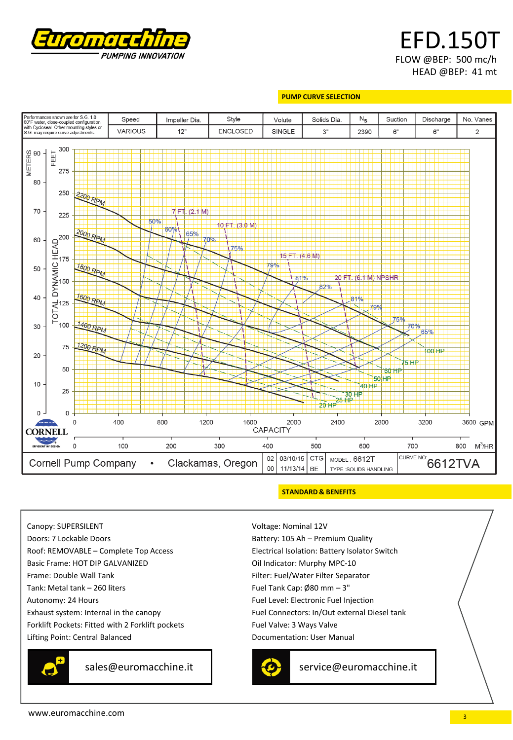

EFD.150T FLOW @BEP: 500 mc/h HEAD @BEP: 41 mt

#### **PUMP CURVE SELECTION**



#### **STANDARD & BENEFITS**

Canopy: SUPERSILENT Doors: 7 Lockable Doors Roof: REMOVABLE – Complete Top Access Basic Frame: HOT DIP GALVANIZED Frame: Double Wall Tank Tank: Metal tank – 260 liters Autonomy: 24 Hours Exhaust system: Internal in the canopy Forklift Pockets: Fitted with 2 Forklift pockets Lifting Point: Central Balanced



sales@euromacchine.it contract service@euromacchine.it

Voltage: Nominal 12V Battery: 105 Ah – Premium Quality Electrical Isolation: Battery Isolator Switch Oil Indicator: Murphy MPC-10 Filter: Fuel/Water Filter Separator Fuel Tank Cap: Ø80 mm – 3" Fuel Level: Electronic Fuel Injection Fuel Connectors: In/Out external Diesel tank Fuel Valve: 3 Ways Valve Documentation: User Manual